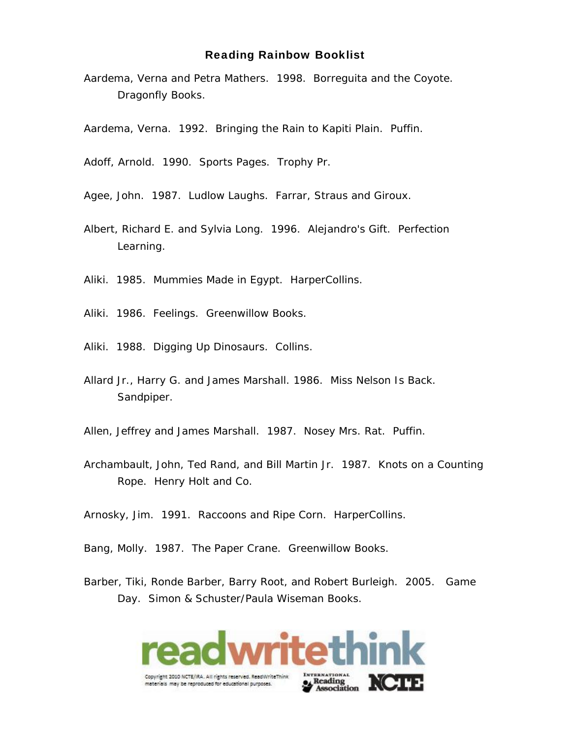Aardema, Verna and Petra Mathers. 1998. *Borreguita and the Coyote*. Dragonfly Books.

Aardema, Verna. 1992. *Bringing the Rain to Kapiti Plain*. Puffin.

Adoff, Arnold. 1990. *Sports Pages*. Trophy Pr.

Agee, John. 1987. *Ludlow Laughs*. Farrar, Straus and Giroux.

Albert, Richard E. and Sylvia Long. 1996. *Alejandro's Gift*. Perfection Learning.

Aliki. 1985. *Mummies Made in Egypt*. HarperCollins.

Aliki. 1986. *Feelings*. Greenwillow Books.

Aliki. 1988. *Digging Up Dinosaurs*. Collins.

Allard Jr., Harry G. and James Marshall. 1986. *Miss Nelson Is Back*. Sandpiper.

Allen, Jeffrey and James Marshall. 1987. *Nosey Mrs. Rat*. Puffin.

Archambault, John, Ted Rand, and Bill Martin Jr. 1987*. Knots on a Counting Rope*. Henry Holt and Co.

Arnosky, Jim. 1991. *Raccoons and Ripe Corn*. HarperCollins.

Bang, Molly. 1987. *The Paper Crane*. Greenwillow Books.

Barber, Tiki, Ronde Barber, Barry Root, and Robert Burleigh. 2005. *Game Day*. Simon & Schuster/Paula Wiseman Books.

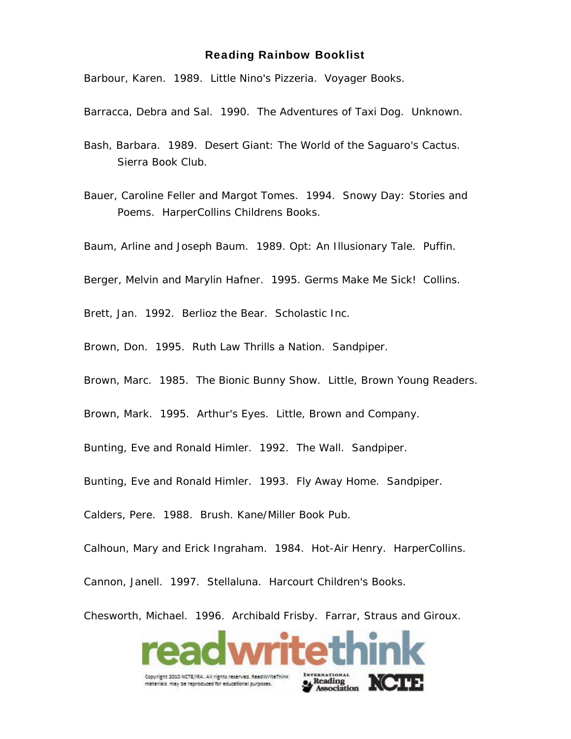Barbour, Karen. 1989. *Little Nino's Pizzeria*. Voyager Books.

Barracca, Debra and Sal. 1990. *The Adventures of Taxi Dog*. Unknown.

Bash, Barbara. 1989. *Desert Giant: The World of the Saguaro's Cactus*. Sierra Book Club.

Bauer, Caroline Feller and Margot Tomes. 1994. *Snowy Day: Stories and Poems*. HarperCollins Childrens Books.

Baum, Arline and Joseph Baum. 1989. *Opt: An Illusionary Tale*. Puffin.

Berger, Melvin and Marylin Hafner. 1995. *Germs Make Me Sick!* Collins.

Brett, Jan. 1992. *Berlioz the Bear*. Scholastic Inc.

Brown, Don. 1995. *Ruth Law Thrills a Nation*. Sandpiper.

Brown, Marc. 1985. *The Bionic Bunny Show*. Little, Brown Young Readers.

Brown, Mark. 1995. *Arthur's Eyes*. Little, Brown and Company.

Bunting, Eve and Ronald Himler. 1992. *The Wall*. Sandpiper.

Bunting, Eve and Ronald Himler. 1993. *Fly Away Home*. Sandpiper.

Calders, Pere. 1988. *Brush*. Kane/Miller Book Pub.

Calhoun, Mary and Erick Ingraham. 1984. *Hot-Air Henry*. HarperCollins.

Cannon, Janell. 1997. *Stellaluna*. Harcourt Children's Books.

Chesworth, Michael. 1996. *Archibald Frisby*. Farrar, Straus and Giroux.

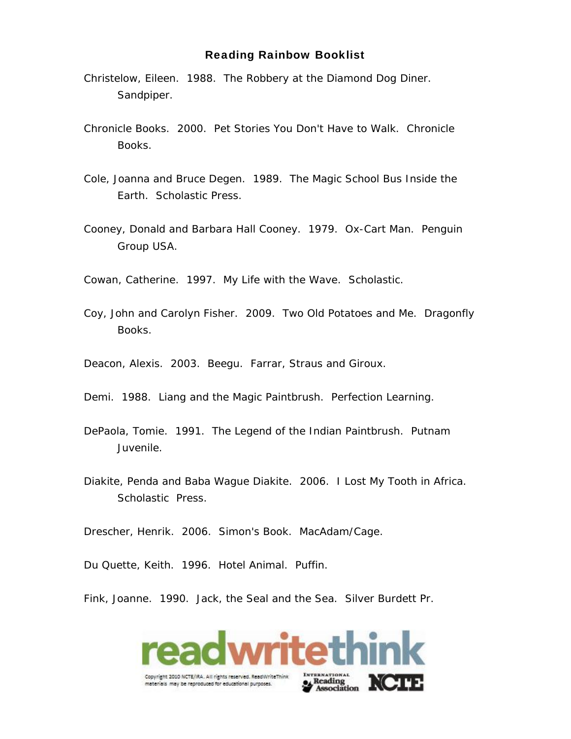- Christelow, Eileen. 1988. *The Robbery at the Diamond Dog Diner*. Sandpiper.
- Chronicle Books. 2000. *Pet Stories You Don't Have to Walk*. Chronicle Books.
- Cole, Joanna and Bruce Degen. 1989. *The Magic School Bus Inside the Earth*. Scholastic Press.
- Cooney, Donald and Barbara Hall Cooney. 1979. *Ox-Cart Man*. Penguin Group USA.

Cowan, Catherine. 1997. *My Life with the Wave*. Scholastic.

- Coy, John and Carolyn Fisher. 2009. *Two Old Potatoes and Me*. Dragonfly Books.
- Deacon, Alexis. 2003. *Beegu*. Farrar, Straus and Giroux.
- Demi. 1988. *Liang and the Magic Paintbrush*. Perfection Learning.
- DePaola, Tomie. 1991. *The Legend of the Indian Paintbrush*. Putnam Juvenile.
- Diakite, Penda and Baba Wague Diakite. 2006. *I Lost My Tooth in Africa*. Scholastic Press.

Drescher, Henrik. 2006. *Simon's Book*. MacAdam/Cage.

Du Quette, Keith. 1996. *Hotel Animal*. Puffin.

Fink, Joanne. 1990. *Jack, the Seal and the Sea*. Silver Burdett Pr.

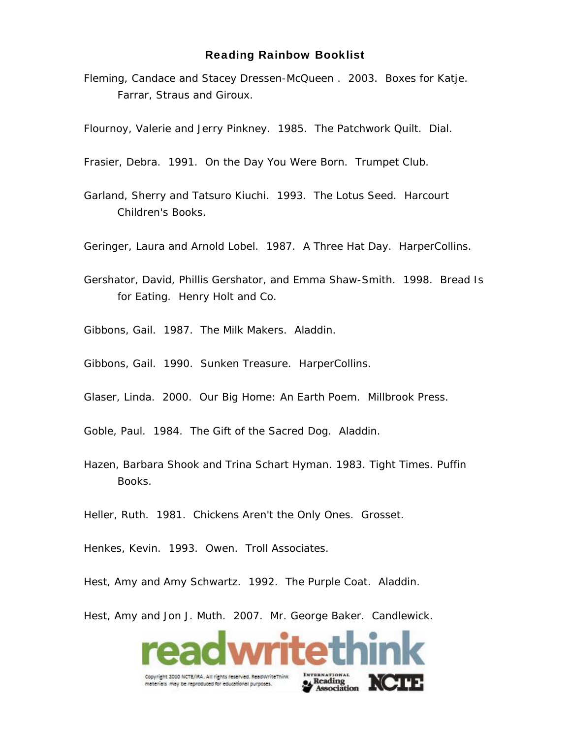Fleming, Candace and Stacey Dressen-McQueen . 2003*. Boxes for Katje*. Farrar, Straus and Giroux.

Flournoy, Valerie and Jerry Pinkney*.* 1985. *The Patchwork Quilt*. Dial.

Frasier, Debra. 1991. *On the Day You Were Born*. Trumpet Club.

- Garland, Sherry and Tatsuro Kiuchi. 1993*. The Lotus Seed*. Harcourt Children's Books.
- Geringer, Laura and Arnold Lobel. 1987*. A Three Hat Day*. HarperCollins.
- Gershator, David, Phillis Gershator, and Emma Shaw-Smith. 1998. *Bread Is for Eating*. Henry Holt and Co.

Gibbons, Gail. 1987. *The Milk Makers*. Aladdin.

- Gibbons, Gail. 1990. *Sunken Treasure*. HarperCollins.
- Glaser, Linda. 2000. *Our Big Home: An Earth Poem*. Millbrook Press.
- Goble, Paul. 1984. *The Gift of the Sacred Dog*. Aladdin.
- Hazen, Barbara Shook and Trina Schart Hyman*. 1983. Tight Times*. Puffin Books.

Heller, Ruth. 1981. *Chickens Aren't the Only Ones*. Grosset.

Henkes, Kevin. 1993. *Owen*. Troll Associates.

Hest, Amy and Amy Schwartz. 1992. *The Purple Coat*. Aladdin.

Hest, Amy and Jon J. Muth. 2007. *Mr. George Baker*. Candlewick.

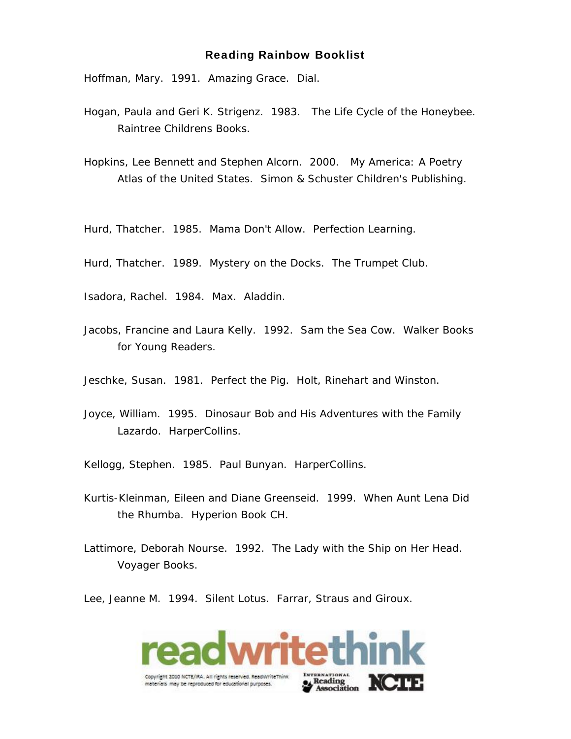Hoffman, Mary. 1991. *Amazing Grace*. Dial.

- Hogan, Paula and Geri K. Strigenz. 1983*. The Life Cycle of the Honeybee.*  Raintree Childrens Books.
- Hopkins, Lee Bennett and Stephen Alcorn. 2000. *My America: A Poetry Atlas of the United States*. Simon & Schuster Children's Publishing.

Hurd, Thatcher. 1985. *Mama Don't Allow*. Perfection Learning.

Hurd, Thatcher. 1989. *Mystery on the Docks*. The Trumpet Club.

Isadora, Rachel. 1984. *Max*. Aladdin.

Jacobs, Francine and Laura Kelly. 1992. *Sam the Sea Cow*. Walker Books for Young Readers.

Jeschke, Susan. 1981. *Perfect the Pig*. Holt, Rinehart and Winston.

Joyce, William. 1995. *Dinosaur Bob and His Adventures with the Family Lazardo*. HarperCollins.

Kellogg, Stephen. 1985. *Paul Bunyan*. HarperCollins.

- Kurtis-Kleinman, Eileen and Diane Greenseid. 1999. *When Aunt Lena Did the Rhumba*. Hyperion Book CH.
- Lattimore, Deborah Nourse. 1992. *The Lady with the Ship on Her Head*. Voyager Books.

Lee, Jeanne M. 1994. *Silent Lotus*. Farrar, Straus and Giroux.

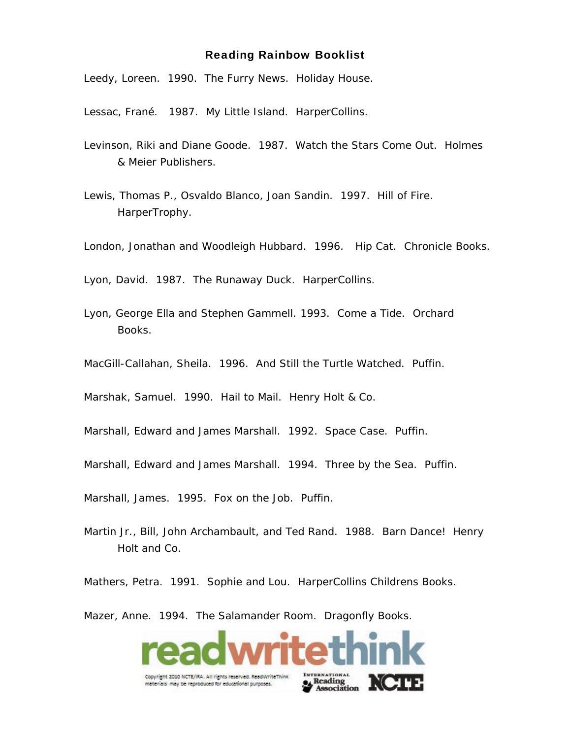Leedy, Loreen. 1990. *The Furry News*. Holiday House.

Lessac, Frané. 1987. *My Little Island*. HarperCollins.

- Levinson, Riki and Diane Goode. 1987. *Watch the Stars Come Out*. Holmes & Meier Publishers.
- Lewis, Thomas P., Osvaldo Blanco, Joan Sandin. 1997. *Hill of Fire*. HarperTrophy.
- London, Jonathan and Woodleigh Hubbard. 1996. *Hip Cat*. Chronicle Books.

Lyon, David. 1987. *The Runaway Duck*. HarperCollins.

- Lyon, George Ella and Stephen Gammell. 1993*. Come a Tide*. Orchard Books.
- MacGill-Callahan, Sheila. 1996. *And Still the Turtle Watched*. Puffin.

Marshak, Samuel. 1990. *Hail to Mail*. Henry Holt & Co.

- Marshall, Edward and James Marshall. 1992. *Space Case*. Puffin.
- Marshall, Edward and James Marshall. 1994. *Three by the Sea*. Puffin.

Marshall, James. 1995. *Fox on the Job*. Puffin.

Martin Jr., Bill, John Archambault, and Ted Rand. 1988. Barn *Dance!* Henry Holt and Co.

Mathers, Petra. 1991. *Sophie and Lou*. HarperCollins Childrens Books.

Mazer, Anne. 1994. *The Salamander Room*. Dragonfly Books.

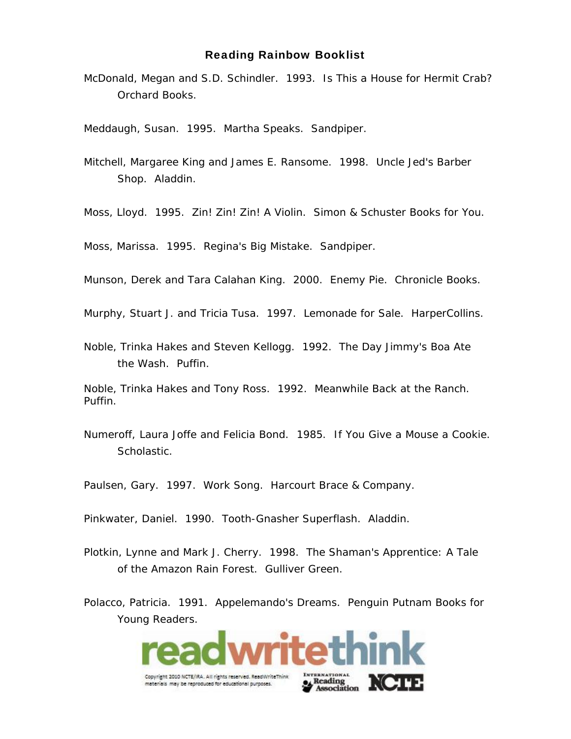McDonald, Megan and S.D. Schindler. 1993*. Is This a House for Hermit Crab?* Orchard Books.

Meddaugh, Susan. 1995. *Martha Speaks*. Sandpiper.

Mitchell, Margaree King and James E. Ransome. 1998. *Uncle Jed's Barber Shop*. Aladdin.

Moss, Lloyd. 1995. *Zin! Zin! Zin! A Violin*. Simon & Schuster Books for You.

Moss, Marissa. 1995. *Regina's Big Mistake*. Sandpiper.

Munson, Derek and Tara Calahan King. 2000. *Enemy Pie*. Chronicle Books.

Murphy, Stuart J. and Tricia Tusa. 1997. *Lemonade for Sale*. HarperCollins.

Noble, Trinka Hakes and Steven Kellogg. 1992. *The Day Jimmy's Boa Ate the Wash*. Puffin.

Noble, Trinka Hakes and Tony Ross. 1992*. Meanwhile Back at the Ranch*. Puffin.

Numeroff, Laura Joffe and Felicia Bond. 1985*. If You Give a Mouse a Cookie*. Scholastic.

Paulsen, Gary. 1997. *Work Song*. Harcourt Brace & Company.

- Pinkwater, Daniel. 1990. *Tooth-Gnasher Superflash*. Aladdin.
- Plotkin, Lynne and Mark J. Cherry. 1998. *The Shaman's Apprentice: A Tale of the Amazon Rain Forest*. Gulliver Green.
- Polacco, Patricia. 1991. *Appelemando's Dreams*. Penguin Putnam Books for Young Readers.

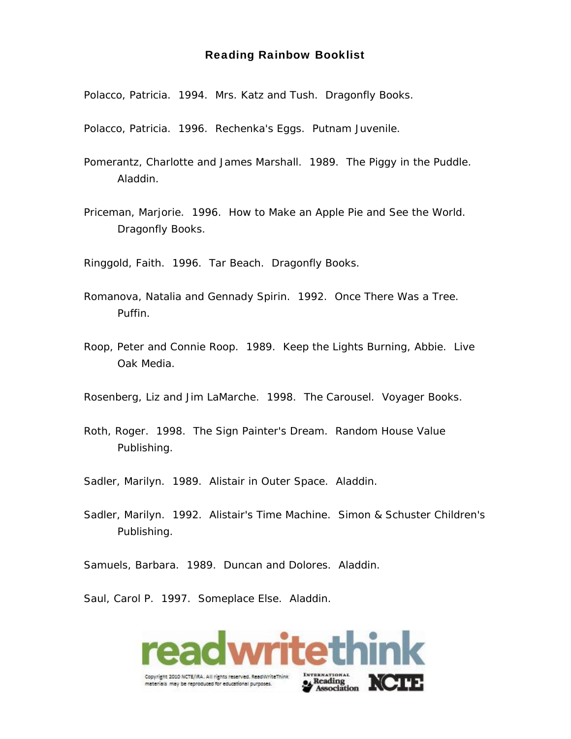Polacco, Patricia. 1994. *Mrs. Katz and Tush*. Dragonfly Books.

Polacco, Patricia. 1996. *Rechenka's Eggs*. Putnam Juvenile.

- Pomerantz, Charlotte and James Marshall. 1989*. The Piggy in the Puddle*. Aladdin.
- Priceman, Marjorie. 1996. *How to Make an Apple Pie and See the World*. Dragonfly Books.

Ringgold, Faith. 1996. *Tar Beach*. Dragonfly Books.

- Romanova, Natalia and Gennady Spirin. 1992*. Once There Was a Tree*. Puffin.
- Roop, Peter and Connie Roop. 1989. *Keep the Lights Burning, Abbie*. Live Oak Media.
- Rosenberg, Liz and Jim LaMarche. 1998. *The Carousel*. Voyager Books.
- Roth, Roger. 1998. *The Sign Painter's Dream*. Random House Value Publishing.

Sadler, Marilyn. 1989. Alistair *in Outer Space*. Aladdin.

Sadler, Marilyn. 1992. *Alistair's Time Machine*. Simon & Schuster Children's Publishing.

Samuels, Barbara. 1989. *Duncan and Dolores*. Aladdin.

Saul, Carol P. 1997. *Someplace Else*. Aladdin.

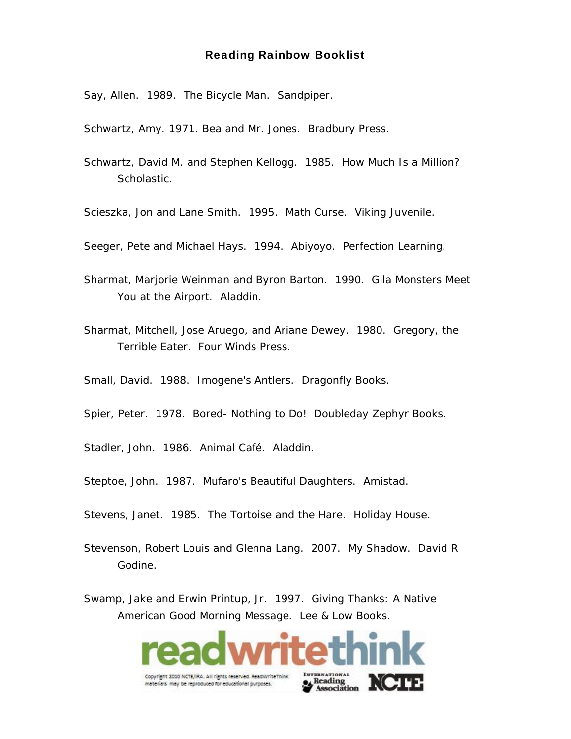Say, Allen. 1989. *The Bicycle Man*. Sandpiper.

Schwartz, Amy. 1971*. Bea and Mr. Jones.* Bradbury Press.

Schwartz, David M. and Stephen Kellogg. 1985. *How Much Is a Million?* Scholastic.

Scieszka, Jon and Lane Smith. 1995. *Math Curse*. Viking Juvenile.

Seeger, Pete and Michael Hays. 1994. *Abiyoyo*. Perfection Learning.

- Sharmat, Marjorie Weinman and Byron Barton. 1990*. Gila Monsters Meet You at the Airport*. Aladdin.
- Sharmat, Mitchell, Jose Aruego, and Ariane Dewey. 1980. *Gregory, the Terrible Eater*. Four Winds Press.

Small, David. 1988. *Imogene's Antlers*. Dragonfly Books.

Spier, Peter. 1978. *Bored- Nothing to Do!* Doubleday Zephyr Books.

Stadler, John. 1986. *Animal Café*. Aladdin.

- Steptoe, John. 1987. *Mufaro's Beautiful Daughters*. Amistad.
- Stevens, Janet. 1985. *The Tortoise and the Hare*. Holiday House.
- Stevenson, Robert Louis and Glenna Lang. 2007. *My Shadow*. David R Godine.

Swamp, Jake and Erwin Printup, Jr. 1997. *Giving Thanks: A Native American Good Morning Message*. Lee & Low Books.

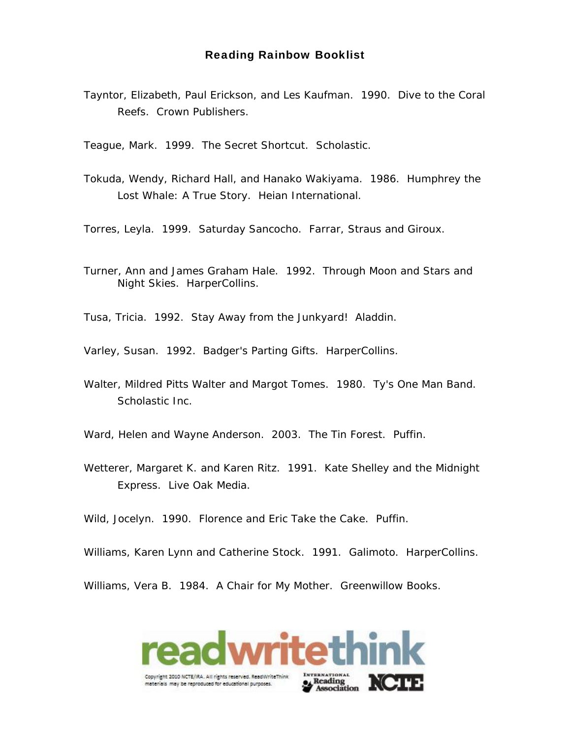Tayntor, Elizabeth, Paul Erickson, and Les Kaufman. 1990. *Dive to the Coral Reefs*. Crown Publishers.

Teague, Mark. 1999. *The Secret Shortcut*. Scholastic.

Tokuda, Wendy, Richard Hall, and Hanako Wakiyama. 1986. *Humphrey the Lost Whale: A True Story*. Heian International.

Torres, Leyla. 1999. *Saturday Sancocho*. Farrar, Straus and Giroux.

Turner, Ann and James Graham Hale. 1992. *Through Moon and Stars and Night Skies*. HarperCollins.

Tusa, Tricia. 1992. *Stay Away from the Junkyard!* Aladdin.

Varley, Susan. 1992. *Badger's Parting Gifts*. HarperCollins.

Walter, Mildred Pitts Walter and Margot Tomes. 1980. *Ty's One Man Band*. Scholastic Inc.

Ward, Helen and Wayne Anderson. 2003. *The Tin Forest*. Puffin.

Wetterer, Margaret K. and Karen Ritz. 1991. *Kate Shelley and the Midnight Express*. Live Oak Media.

Wild, Jocelyn. 1990. *Florence and Eric Take the Cake*. Puffin.

Williams, Karen Lynn and Catherine Stock. 1991*. Galimoto*. HarperCollins.

Williams, Vera B. 1984. *A Chair for My Mother*. Greenwillow Books.